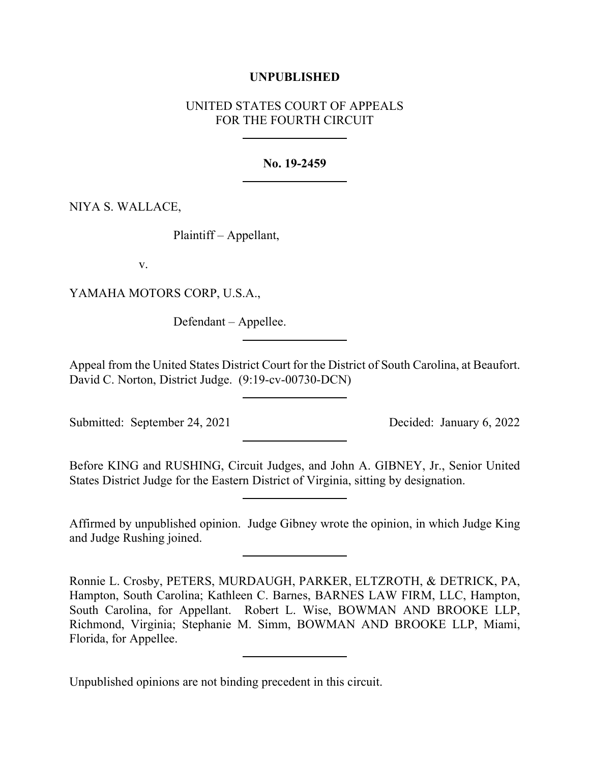### **UNPUBLISHED**

# UNITED STATES COURT OF APPEALS FOR THE FOURTH CIRCUIT

### **No. 19-2459**

## NIYA S. WALLACE,

Plaintiff – Appellant,

v.

YAMAHA MOTORS CORP, U.S.A.,

Defendant – Appellee.

Appeal from the United States District Court for the District of South Carolina, at Beaufort. David C. Norton, District Judge. (9:19-cv-00730-DCN)

Submitted: September 24, 2021 Decided: January 6, 2022

Before KING and RUSHING, Circuit Judges, and John A. GIBNEY, Jr., Senior United States District Judge for the Eastern District of Virginia, sitting by designation.

Affirmed by unpublished opinion. Judge Gibney wrote the opinion, in which Judge King and Judge Rushing joined.

Ronnie L. Crosby, PETERS, MURDAUGH, PARKER, ELTZROTH, & DETRICK, PA, Hampton, South Carolina; Kathleen C. Barnes, BARNES LAW FIRM, LLC, Hampton, South Carolina, for Appellant. Robert L. Wise, BOWMAN AND BROOKE LLP, Richmond, Virginia; Stephanie M. Simm, BOWMAN AND BROOKE LLP, Miami, Florida, for Appellee.

Unpublished opinions are not binding precedent in this circuit.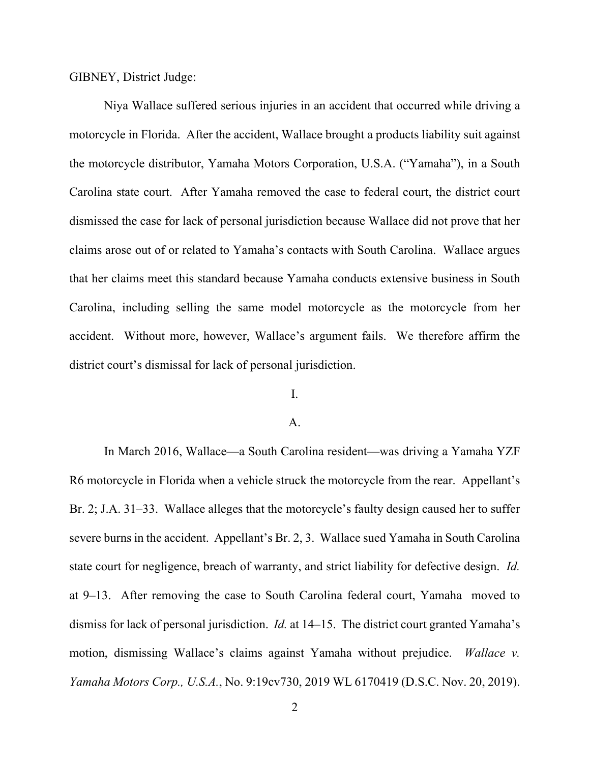GIBNEY, District Judge:

Niya Wallace suffered serious injuries in an accident that occurred while driving a motorcycle in Florida. After the accident, Wallace brought a products liability suit against the motorcycle distributor, Yamaha Motors Corporation, U.S.A. ("Yamaha"), in a South Carolina state court. After Yamaha removed the case to federal court, the district court dismissed the case for lack of personal jurisdiction because Wallace did not prove that her claims arose out of or related to Yamaha's contacts with South Carolina. Wallace argues that her claims meet this standard because Yamaha conducts extensive business in South Carolina, including selling the same model motorcycle as the motorcycle from her accident. Without more, however, Wallace's argument fails. We therefore affirm the district court's dismissal for lack of personal jurisdiction.

## I.

#### A.

In March 2016, Wallace—a South Carolina resident—was driving a Yamaha YZF R6 motorcycle in Florida when a vehicle struck the motorcycle from the rear. Appellant's Br. 2; J.A. 31–33. Wallace alleges that the motorcycle's faulty design caused her to suffer severe burns in the accident. Appellant's Br. 2, 3. Wallace sued Yamaha in South Carolina state court for negligence, breach of warranty, and strict liability for defective design. *Id.* at 9–13. After removing the case to South Carolina federal court, Yamaha moved to dismiss for lack of personal jurisdiction. *Id.* at 14–15. The district court granted Yamaha's motion, dismissing Wallace's claims against Yamaha without prejudice. *Wallace v. Yamaha Motors Corp., U.S.A.*, No. 9:19cv730, 2019 WL 6170419 (D.S.C. Nov. 20, 2019).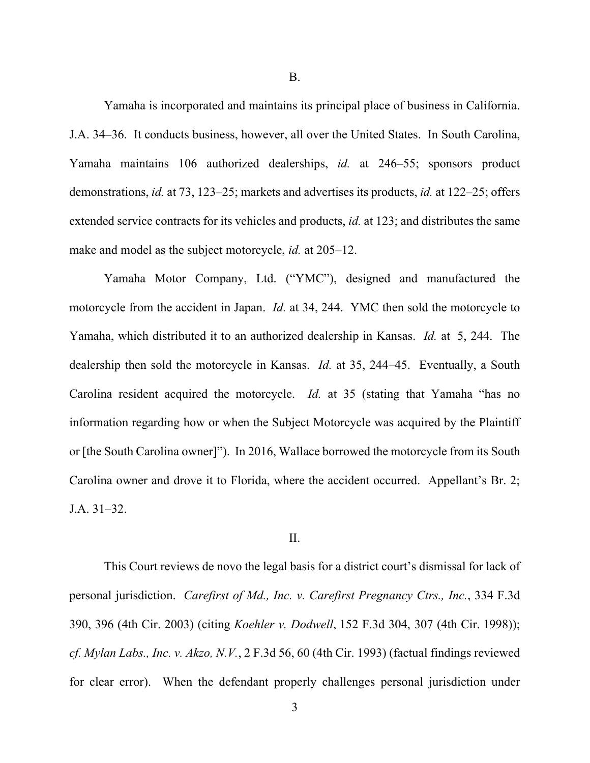B.

Yamaha is incorporated and maintains its principal place of business in California. J.A. 34–36. It conducts business, however, all over the United States. In South Carolina, Yamaha maintains 106 authorized dealerships, *id.* at 246–55; sponsors product demonstrations, *id.* at 73, 123–25; markets and advertises its products, *id.* at 122–25; offers extended service contracts for its vehicles and products, *id.* at 123; and distributes the same make and model as the subject motorcycle, *id.* at 205–12.

Yamaha Motor Company, Ltd. ("YMC"), designed and manufactured the motorcycle from the accident in Japan. *Id.* at 34, 244. YMC then sold the motorcycle to Yamaha, which distributed it to an authorized dealership in Kansas. *Id.* at 5, 244. The dealership then sold the motorcycle in Kansas. *Id.* at 35, 244–45. Eventually, a South Carolina resident acquired the motorcycle. *Id.* at 35 (stating that Yamaha "has no information regarding how or when the Subject Motorcycle was acquired by the Plaintiff or [the South Carolina owner]"). In 2016, Wallace borrowed the motorcycle from its South Carolina owner and drove it to Florida, where the accident occurred. Appellant's Br. 2; J.A. 31–32.

### II.

This Court reviews de novo the legal basis for a district court's dismissal for lack of personal jurisdiction. *Carefirst of Md., Inc. v. Carefirst Pregnancy Ctrs., Inc.*, 334 F.3d 390, 396 (4th Cir. 2003) (citing *Koehler v. Dodwell*, 152 F.3d 304, 307 (4th Cir. 1998)); *cf. Mylan Labs., Inc. v. Akzo, N.V.*, 2 F.3d 56, 60 (4th Cir. 1993) (factual findings reviewed for clear error). When the defendant properly challenges personal jurisdiction under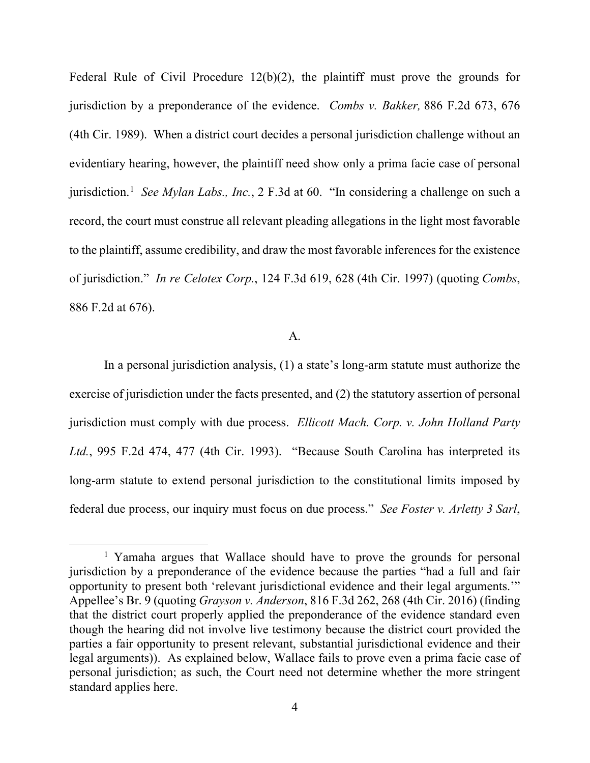Federal Rule of Civil Procedure 12(b)(2), the plaintiff must prove the grounds for jurisdiction by a preponderance of the evidence. *Combs v. Bakker,* 886 F.2d 673, 676 (4th Cir. 1989). When a district court decides a personal jurisdiction challenge without an evidentiary hearing, however, the plaintiff need show only a prima facie case of personal jurisdiction.<sup>[1](#page-3-0)</sup> *See Mylan Labs., Inc.*, 2 F.3d at 60. "In considering a challenge on such a record, the court must construe all relevant pleading allegations in the light most favorable to the plaintiff, assume credibility, and draw the most favorable inferences for the existence of jurisdiction." *In re Celotex Corp.*, 124 F.3d 619, 628 (4th Cir. 1997) (quoting *Combs*, 886 F.2d at 676).

### A.

In a personal jurisdiction analysis, (1) a state's long-arm statute must authorize the exercise of jurisdiction under the facts presented, and (2) the statutory assertion of personal jurisdiction must comply with due process. *Ellicott Mach. Corp. v. John Holland Party Ltd.*, 995 F.2d 474, 477 (4th Cir. 1993). "Because South Carolina has interpreted its long-arm statute to extend personal jurisdiction to the constitutional limits imposed by federal due process, our inquiry must focus on due process." *See Foster v. Arletty 3 Sarl*,

<span id="page-3-0"></span><sup>&</sup>lt;sup>1</sup> Yamaha argues that Wallace should have to prove the grounds for personal jurisdiction by a preponderance of the evidence because the parties "had a full and fair opportunity to present both 'relevant jurisdictional evidence and their legal arguments.'" Appellee's Br. 9 (quoting *Grayson v. Anderson*, 816 F.3d 262, 268 (4th Cir. 2016) (finding that the district court properly applied the preponderance of the evidence standard even though the hearing did not involve live testimony because the district court provided the parties a fair opportunity to present relevant, substantial jurisdictional evidence and their legal arguments)). As explained below, Wallace fails to prove even a prima facie case of personal jurisdiction; as such, the Court need not determine whether the more stringent standard applies here.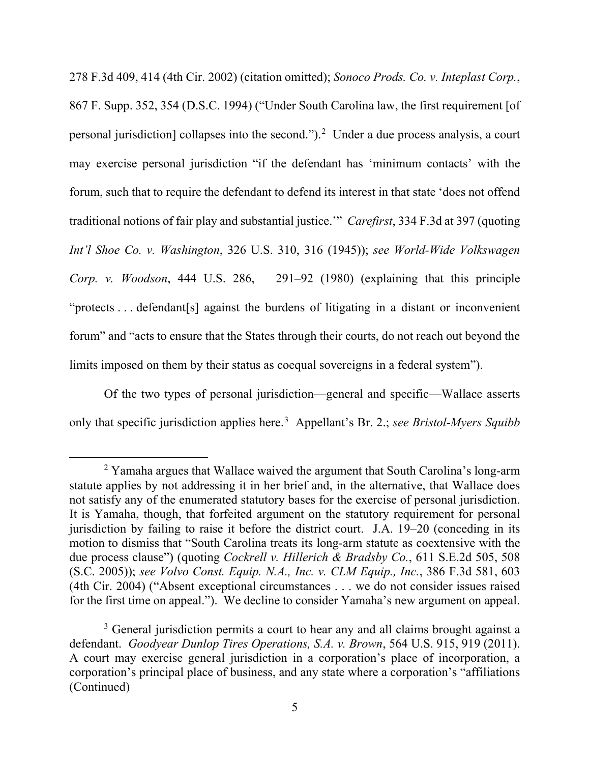278 F.3d 409, 414 (4th Cir. 2002) (citation omitted); *Sonoco Prods. Co. v. Inteplast Corp.*, 867 F. Supp. 352, 354 (D.S.C. 1994) ("Under South Carolina law, the first requirement [of personal jurisdiction] collapses into the second.").[2](#page-4-0) Under a due process analysis, a court may exercise personal jurisdiction "if the defendant has 'minimum contacts' with the forum, such that to require the defendant to defend its interest in that state 'does not offend traditional notions of fair play and substantial justice.'" *Carefirst*, 334 F.3d at 397 (quoting *Int'l Shoe Co. v. Washington*, 326 U.S. 310, 316 (1945)); *see World-Wide Volkswagen Corp. v. Woodson*, 444 U.S. 286, 291–92 (1980) (explaining that this principle "protects . . . defendant[s] against the burdens of litigating in a distant or inconvenient forum" and "acts to ensure that the States through their courts, do not reach out beyond the limits imposed on them by their status as coequal sovereigns in a federal system").

Of the two types of personal jurisdiction—general and specific—Wallace asserts only that specific jurisdiction applies here.[3](#page-4-1) Appellant's Br. 2.; *see Bristol-Myers Squibb* 

<span id="page-4-0"></span><sup>&</sup>lt;sup>2</sup> Yamaha argues that Wallace waived the argument that South Carolina's long-arm statute applies by not addressing it in her brief and, in the alternative, that Wallace does not satisfy any of the enumerated statutory bases for the exercise of personal jurisdiction. It is Yamaha, though, that forfeited argument on the statutory requirement for personal jurisdiction by failing to raise it before the district court. J.A. 19–20 (conceding in its motion to dismiss that "South Carolina treats its long-arm statute as coextensive with the due process clause") (quoting *Cockrell v. Hillerich & Bradsby Co.*, 611 S.E.2d 505, 508 (S.C. 2005)); *see Volvo Const. Equip. N.A., Inc. v. CLM Equip., Inc.*, 386 F.3d 581, 603 (4th Cir. 2004) ("Absent exceptional circumstances . . . we do not consider issues raised for the first time on appeal."). We decline to consider Yamaha's new argument on appeal.

<span id="page-4-1"></span><sup>&</sup>lt;sup>3</sup> General jurisdiction permits a court to hear any and all claims brought against a defendant. *Goodyear Dunlop Tires Operations, S.A. v. Brown*, 564 U.S. 915, 919 (2011). A court may exercise general jurisdiction in a corporation's place of incorporation, a corporation's principal place of business, and any state where a corporation's "affiliations (Continued)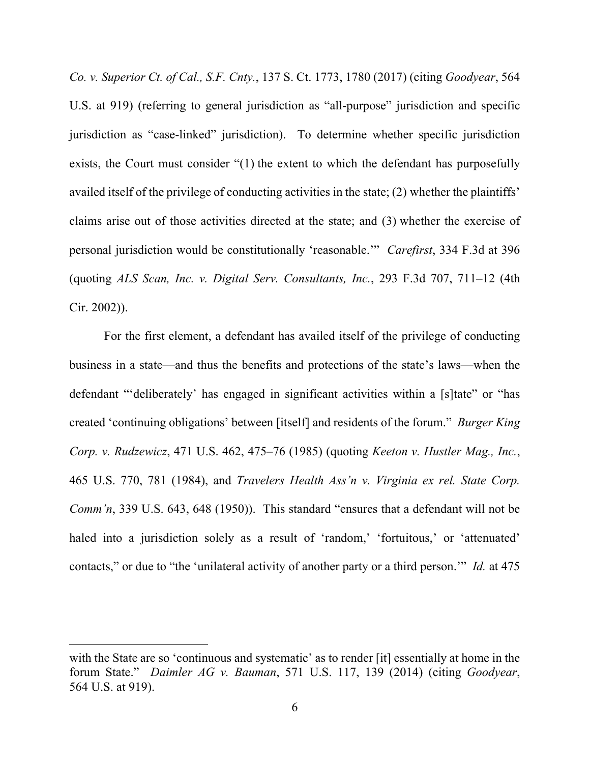*Co. v. Superior Ct. of Cal., S.F. Cnty.*, 137 S. Ct. 1773, 1780 (2017) (citing *Goodyear*, 564 U.S. at 919) (referring to general jurisdiction as "all-purpose" jurisdiction and specific jurisdiction as "case-linked" jurisdiction). To determine whether specific jurisdiction exists, the Court must consider "(1) the extent to which the defendant has purposefully availed itself of the privilege of conducting activities in the state; (2) whether the plaintiffs' claims arise out of those activities directed at the state; and (3) whether the exercise of personal jurisdiction would be constitutionally 'reasonable.'" *Carefirst*, 334 F.3d at 396 (quoting *ALS Scan, Inc. v. Digital Serv. Consultants, Inc.*, 293 F.3d 707, 711–12 (4th Cir. 2002)).

For the first element, a defendant has availed itself of the privilege of conducting business in a state—and thus the benefits and protections of the state's laws—when the defendant "'deliberately' has engaged in significant activities within a [s]tate" or "has created 'continuing obligations' between [itself] and residents of the forum." *Burger King Corp. v. Rudzewicz*, 471 U.S. 462, 475–76 (1985) (quoting *Keeton v. Hustler Mag., Inc.*, 465 U.S. 770, 781 (1984), and *Travelers Health Ass'n v. Virginia ex rel. State Corp. Comm'n*, 339 U.S. 643, 648 (1950)). This standard "ensures that a defendant will not be haled into a jurisdiction solely as a result of 'random,' 'fortuitous,' or 'attenuated' contacts," or due to "the 'unilateral activity of another party or a third person.'" *Id.* at 475

with the State are so 'continuous and systematic' as to render [it] essentially at home in the forum State." *Daimler AG v. Bauman*, 571 U.S. 117, 139 (2014) (citing *Goodyear*, 564 U.S. at 919).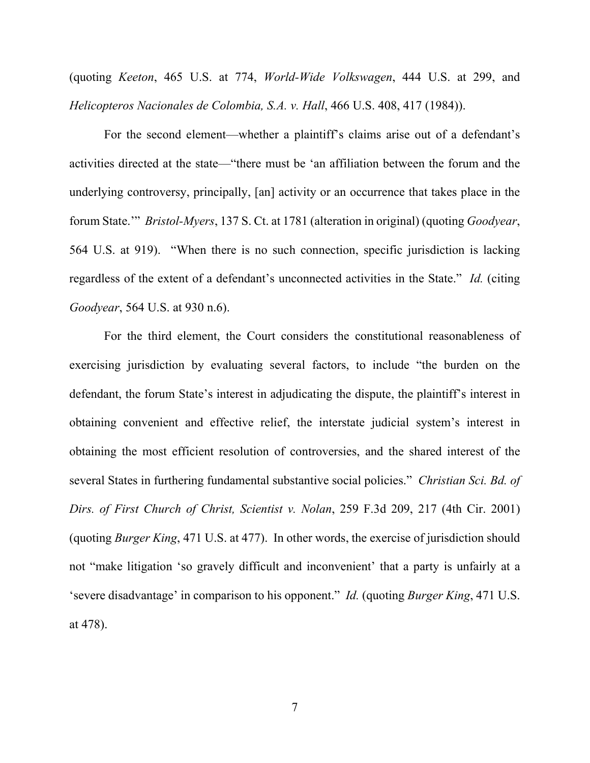(quoting *Keeton*, 465 U.S. at 774, *World-Wide Volkswagen*, 444 U.S. at 299, and *Helicopteros Nacionales de Colombia, S.A. v. Hall*, 466 U.S. 408, 417 (1984)).

For the second element—whether a plaintiff's claims arise out of a defendant's activities directed at the state—"there must be 'an affiliation between the forum and the underlying controversy, principally, [an] activity or an occurrence that takes place in the forum State.'" *Bristol-Myers*, 137 S. Ct. at 1781 (alteration in original) (quoting *Goodyear*, 564 U.S. at 919). "When there is no such connection, specific jurisdiction is lacking regardless of the extent of a defendant's unconnected activities in the State." *Id.* (citing *Goodyear*, 564 U.S. at 930 n.6).

For the third element, the Court considers the constitutional reasonableness of exercising jurisdiction by evaluating several factors, to include "the burden on the defendant, the forum State's interest in adjudicating the dispute, the plaintiff's interest in obtaining convenient and effective relief, the interstate judicial system's interest in obtaining the most efficient resolution of controversies, and the shared interest of the several States in furthering fundamental substantive social policies." *Christian Sci. Bd. of Dirs. of First Church of Christ, Scientist v. Nolan*, 259 F.3d 209, 217 (4th Cir. 2001) (quoting *Burger King*, 471 U.S. at 477). In other words, the exercise of jurisdiction should not "make litigation 'so gravely difficult and inconvenient' that a party is unfairly at a 'severe disadvantage' in comparison to his opponent." *Id.* (quoting *Burger King*, 471 U.S. at 478).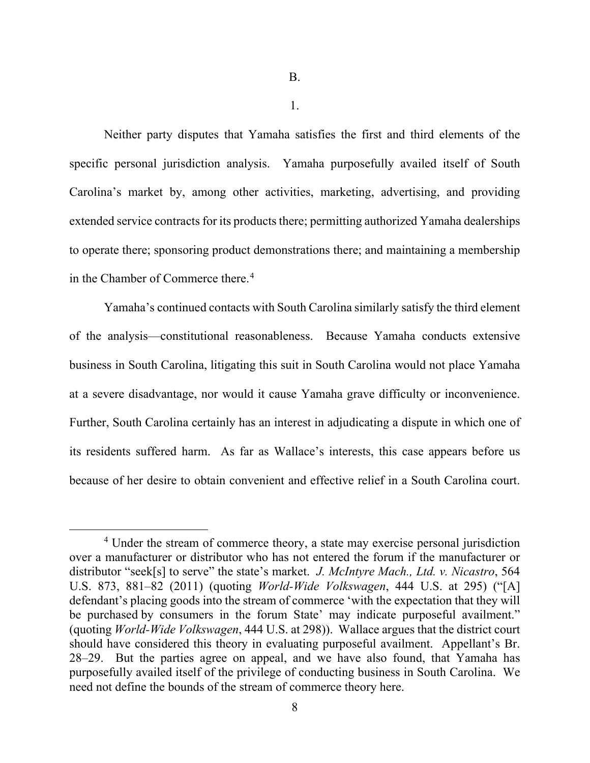1.

Neither party disputes that Yamaha satisfies the first and third elements of the specific personal jurisdiction analysis. Yamaha purposefully availed itself of South Carolina's market by, among other activities, marketing, advertising, and providing extended service contracts for its products there; permitting authorized Yamaha dealerships to operate there; sponsoring product demonstrations there; and maintaining a membership in the Chamber of Commerce there. [4](#page-7-0)

Yamaha's continued contacts with South Carolina similarly satisfy the third element of the analysis—constitutional reasonableness. Because Yamaha conducts extensive business in South Carolina, litigating this suit in South Carolina would not place Yamaha at a severe disadvantage, nor would it cause Yamaha grave difficulty or inconvenience. Further, South Carolina certainly has an interest in adjudicating a dispute in which one of its residents suffered harm. As far as Wallace's interests, this case appears before us because of her desire to obtain convenient and effective relief in a South Carolina court.

<span id="page-7-0"></span><sup>&</sup>lt;sup>4</sup> Under the stream of commerce theory, a state may exercise personal jurisdiction over a manufacturer or distributor who has not entered the forum if the manufacturer or distributor "seek[s] to serve" the state's market. *J. McIntyre Mach., Ltd. v. Nicastro*, 564 U.S. 873, 881–82 (2011) (quoting *World-Wide Volkswagen*, 444 U.S. at 295) ("[A] defendant's placing goods into the stream of commerce 'with the expectation that they will be purchased by consumers in the forum State' may indicate purposeful availment." (quoting *World-Wide Volkswagen*, 444 U.S. at 298)). Wallace argues that the district court should have considered this theory in evaluating purposeful availment. Appellant's Br. 28–29. But the parties agree on appeal, and we have also found, that Yamaha has purposefully availed itself of the privilege of conducting business in South Carolina. We need not define the bounds of the stream of commerce theory here.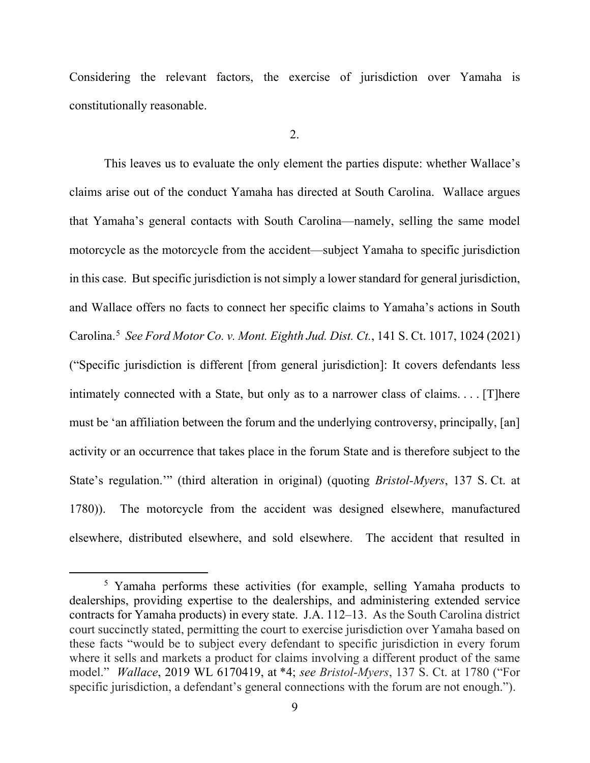Considering the relevant factors, the exercise of jurisdiction over Yamaha is constitutionally reasonable.

2.

This leaves us to evaluate the only element the parties dispute: whether Wallace's claims arise out of the conduct Yamaha has directed at South Carolina. Wallace argues that Yamaha's general contacts with South Carolina—namely, selling the same model motorcycle as the motorcycle from the accident—subject Yamaha to specific jurisdiction in this case. But specific jurisdiction is not simply a lower standard for general jurisdiction, and Wallace offers no facts to connect her specific claims to Yamaha's actions in South Carolina.[5](#page-8-0) *See Ford Motor Co. v. Mont. Eighth Jud. Dist. Ct.*, 141 S. Ct. 1017, 1024 (2021) ("Specific jurisdiction is different [from general jurisdiction]: It covers defendants less intimately connected with a State, but only as to a narrower class of claims. . . . [T]here must be 'an affiliation between the forum and the underlying controversy, principally, [an] activity or an occurrence that takes place in the forum State and is therefore subject to the State's regulation.'" (third alteration in original) (quoting *Bristol-Myers*, 137 S. Ct. at 1780)). The motorcycle from the accident was designed elsewhere, manufactured elsewhere, distributed elsewhere, and sold elsewhere. The accident that resulted in

<span id="page-8-0"></span><sup>&</sup>lt;sup>5</sup> Yamaha performs these activities (for example, selling Yamaha products to dealerships, providing expertise to the dealerships, and administering extended service contracts for Yamaha products) in every state. J.A. 112–13. As the South Carolina district court succinctly stated, permitting the court to exercise jurisdiction over Yamaha based on these facts "would be to subject every defendant to specific jurisdiction in every forum where it sells and markets a product for claims involving a different product of the same model." *Wallace*, 2019 WL 6170419, at \*4; *see Bristol-Myers*, 137 S. Ct. at 1780 ("For specific jurisdiction, a defendant's general connections with the forum are not enough.").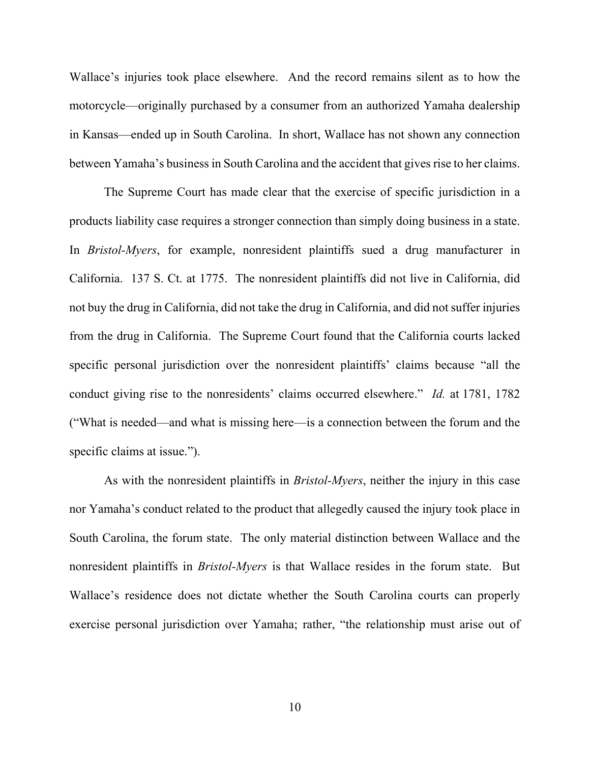Wallace's injuries took place elsewhere. And the record remains silent as to how the motorcycle—originally purchased by a consumer from an authorized Yamaha dealership in Kansas—ended up in South Carolina. In short, Wallace has not shown any connection between Yamaha's business in South Carolina and the accident that gives rise to her claims.

The Supreme Court has made clear that the exercise of specific jurisdiction in a products liability case requires a stronger connection than simply doing business in a state. In *Bristol-Myers*, for example, nonresident plaintiffs sued a drug manufacturer in California. 137 S. Ct. at 1775. The nonresident plaintiffs did not live in California, did not buy the drug in California, did not take the drug in California, and did not suffer injuries from the drug in California. The Supreme Court found that the California courts lacked specific personal jurisdiction over the nonresident plaintiffs' claims because "all the conduct giving rise to the nonresidents' claims occurred elsewhere." *Id.* at 1781, 1782 ("What is needed—and what is missing here—is a connection between the forum and the specific claims at issue.").

As with the nonresident plaintiffs in *Bristol-Myers*, neither the injury in this case nor Yamaha's conduct related to the product that allegedly caused the injury took place in South Carolina, the forum state. The only material distinction between Wallace and the nonresident plaintiffs in *Bristol-Myers* is that Wallace resides in the forum state. But Wallace's residence does not dictate whether the South Carolina courts can properly exercise personal jurisdiction over Yamaha; rather, "the relationship must arise out of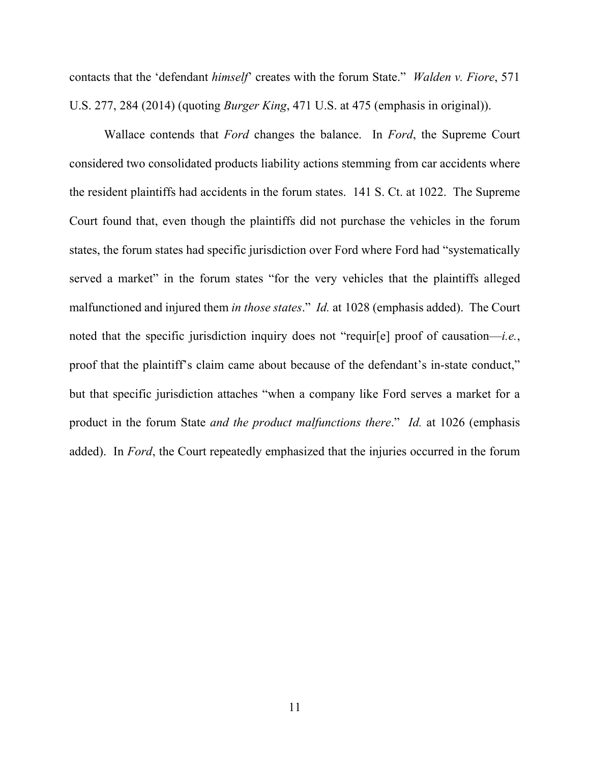contacts that the 'defendant *himself*' creates with the forum State." *Walden v. Fiore*, 571 U.S. 277, 284 (2014) (quoting *Burger King*, 471 U.S. at 475 (emphasis in original)).

Wallace contends that *Ford* changes the balance. In *Ford*, the Supreme Court considered two consolidated products liability actions stemming from car accidents where the resident plaintiffs had accidents in the forum states. 141 S. Ct. at 1022. The Supreme Court found that, even though the plaintiffs did not purchase the vehicles in the forum states, the forum states had specific jurisdiction over Ford where Ford had "systematically served a market" in the forum states "for the very vehicles that the plaintiffs alleged malfunctioned and injured them *in those states*." *Id.* at 1028 (emphasis added). The Court noted that the specific jurisdiction inquiry does not "requir[e] proof of causation—*i.e.*, proof that the plaintiff's claim came about because of the defendant's in-state conduct," but that specific jurisdiction attaches "when a company like Ford serves a market for a product in the forum State *and the product malfunctions there*." *Id.* at 1026 (emphasis added). In *Ford*, the Court repeatedly emphasized that the injuries occurred in the forum